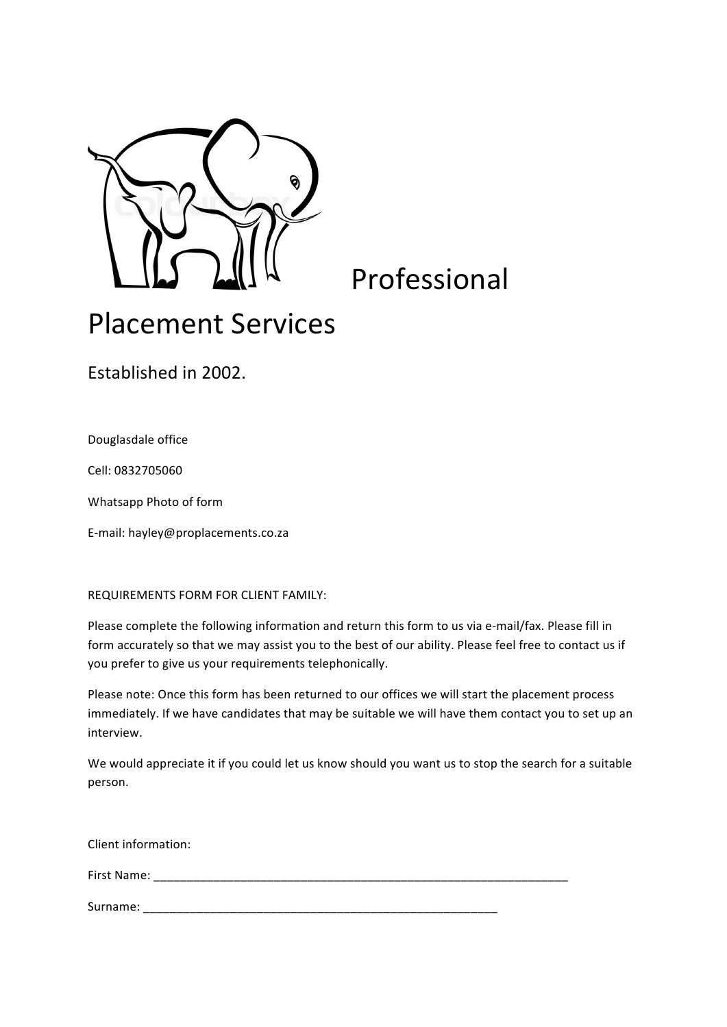

Professional

## Placement Services

Established in 2002.

Douglasdale office

Cell: 0832705060

Whatsapp Photo of form

E-mail: hayley@proplacements.co.za

REQUIREMENTS FORM FOR CLIENT FAMILY:

Please complete the following information and return this form to us via e-mail/fax. Please fill in form accurately so that we may assist you to the best of our ability. Please feel free to contact us if you prefer to give us your requirements telephonically.

Please note: Once this form has been returned to our offices we will start the placement process immediately. If we have candidates that may be suitable we will have them contact you to set up an interview.

We would appreciate it if you could let us know should you want us to stop the search for a suitable person.

Client information:

First Name: when the set of the set of the set of the set of the set of the set of the set of the set of the set of the set of the set of the set of the set of the set of the set of the set of the set of the set of the set

Surname: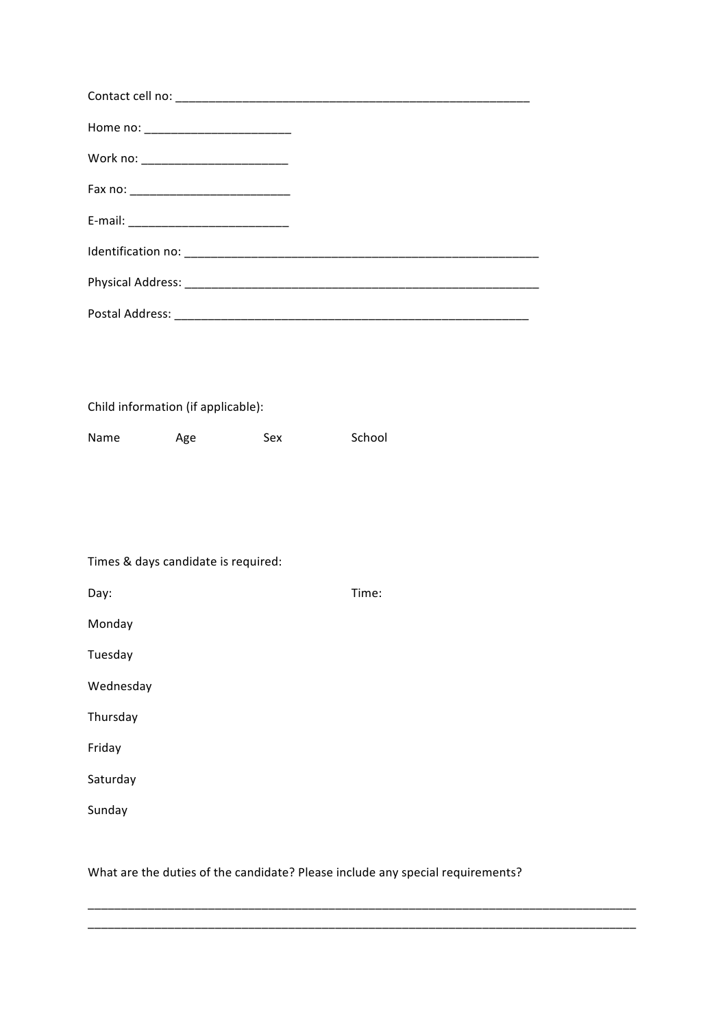|           | E-mail: _________________________________ |     |        |  |
|-----------|-------------------------------------------|-----|--------|--|
|           |                                           |     |        |  |
|           |                                           |     |        |  |
|           |                                           |     |        |  |
|           |                                           |     |        |  |
|           |                                           |     |        |  |
|           | Child information (if applicable):        |     |        |  |
| Name      | Age                                       | Sex | School |  |
|           |                                           |     |        |  |
|           |                                           |     |        |  |
|           |                                           |     |        |  |
|           | Times & days candidate is required:       |     |        |  |
| Day:      |                                           |     | Time:  |  |
| Monday    |                                           |     |        |  |
| Tuesday   |                                           |     |        |  |
| Wednesday |                                           |     |        |  |
| Thursday  |                                           |     |        |  |
| Friday    |                                           |     |        |  |
| Saturday  |                                           |     |        |  |
| Sunday    |                                           |     |        |  |

## What are the duties of the candidate? Please include any special requirements?

\_\_\_\_\_\_\_\_\_\_\_\_\_\_\_\_\_\_\_\_\_\_\_\_\_\_\_\_\_\_\_\_\_\_\_\_\_\_\_\_\_\_\_\_\_\_\_\_\_\_\_\_\_\_\_\_\_\_\_\_\_\_\_\_\_\_\_\_\_\_\_\_\_\_\_\_\_\_\_\_\_\_

\_\_\_\_\_\_\_\_\_\_\_\_\_\_\_\_\_\_\_\_\_\_\_\_\_\_\_\_\_\_\_\_\_\_\_\_\_\_\_\_\_\_\_\_\_\_\_\_\_\_\_\_\_\_\_\_\_\_\_\_\_\_\_\_\_\_\_\_\_\_\_\_\_\_\_\_\_\_\_\_\_\_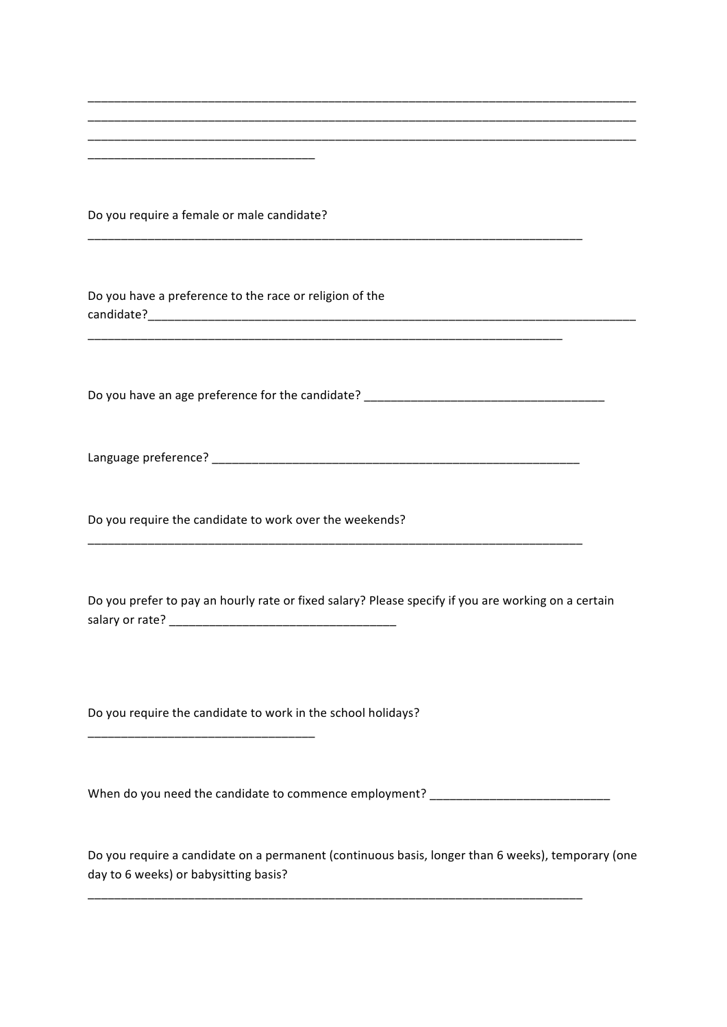| Do you require a female or male candidate?                                                                                                 |
|--------------------------------------------------------------------------------------------------------------------------------------------|
| Do you have a preference to the race or religion of the                                                                                    |
| Do you have an age preference for the candidate? ________________________________                                                          |
|                                                                                                                                            |
| Do you require the candidate to work over the weekends?                                                                                    |
| Do you prefer to pay an hourly rate or fixed salary? Please specify if you are working on a certain                                        |
| Do you require the candidate to work in the school holidays?                                                                               |
| When do you need the candidate to commence employment? _________________________                                                           |
| Do you require a candidate on a permanent (continuous basis, longer than 6 weeks), temporary (one<br>day to 6 weeks) or babysitting basis? |

\_\_\_\_\_\_\_\_\_\_\_\_\_\_\_\_\_\_\_\_\_\_\_\_\_\_\_\_\_\_\_\_\_\_\_\_\_\_\_\_\_\_\_\_\_\_\_\_\_\_\_\_\_\_\_\_\_\_\_\_\_\_\_\_\_\_\_\_\_\_\_\_\_\_\_\_\_\_\_\_\_\_

\_\_\_\_\_\_\_\_\_\_\_\_\_\_\_\_\_\_\_\_\_\_\_\_\_\_\_\_\_\_\_\_\_\_\_\_\_\_\_\_\_\_\_\_\_\_\_\_\_\_\_\_\_\_\_\_\_\_\_\_\_\_\_\_\_\_\_\_\_\_\_\_\_\_\_\_\_\_\_\_\_\_ \_\_\_\_\_\_\_\_\_\_\_\_\_\_\_\_\_\_\_\_\_\_\_\_\_\_\_\_\_\_\_\_\_\_\_\_\_\_\_\_\_\_\_\_\_\_\_\_\_\_\_\_\_\_\_\_\_\_\_\_\_\_\_\_\_\_\_\_\_\_\_\_\_\_\_\_\_\_\_\_\_\_